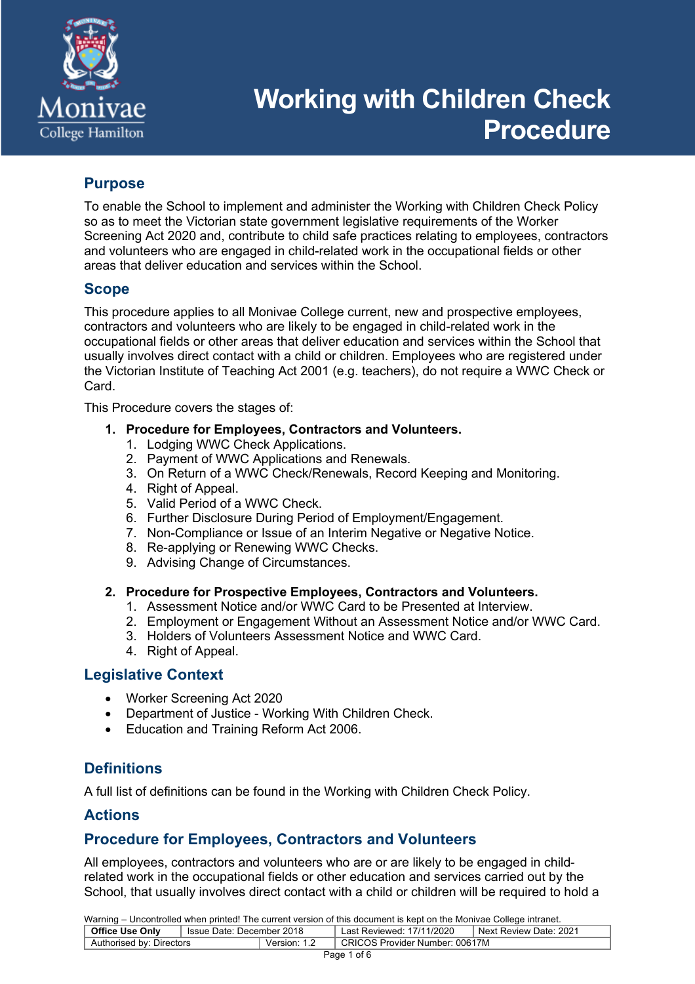

# **Working with Children Check Procedure**

# **Purpose**

To enable the School to implement and administer the Working with Children Check Policy so as to meet the Victorian state government legislative requirements of the Worker Screening Act 2020 and, contribute to child safe practices relating to employees, contractors and volunteers who are engaged in child-related work in the occupational fields or other areas that deliver education and services within the School.

# **Scope**

This procedure applies to all Monivae College current, new and prospective employees, contractors and volunteers who are likely to be engaged in child-related work in the occupational fields or other areas that deliver education and services within the School that usually involves direct contact with a child or children. Employees who are registered under the Victorian Institute of Teaching Act 2001 (e.g. teachers), do not require a WWC Check or Card.

This Procedure covers the stages of:

- **1. Procedure for Employees, Contractors and Volunteers.**
	- 1. Lodging WWC Check Applications.
	- 2. Payment of WWC Applications and Renewals.
	- 3. On Return of a WWC Check/Renewals, Record Keeping and Monitoring.
	- 4. Right of Appeal.
	- 5. Valid Period of a WWC Check.
	- 6. Further Disclosure During Period of Employment/Engagement.
	- 7. Non-Compliance or Issue of an Interim Negative or Negative Notice.
	- 8. Re-applying or Renewing WWC Checks.
	- 9. Advising Change of Circumstances.
- **2. Procedure for Prospective Employees, Contractors and Volunteers.**
	- 1. Assessment Notice and/or WWC Card to be Presented at Interview.
	- 2. Employment or Engagement Without an Assessment Notice and/or WWC Card.
	- 3. Holders of Volunteers Assessment Notice and WWC Card.
	- 4. Right of Appeal.

## **Legislative Context**

- Worker Screening Act 2020
- Department of Justice Working With Children Check.
- Education and Training Reform Act 2006.

# **Definitions**

A full list of definitions can be found in the Working with Children Check Policy.

## **Actions**

## **Procedure for Employees, Contractors and Volunteers**

All employees, contractors and volunteers who are or are likely to be engaged in childrelated work in the occupational fields or other education and services carried out by the School, that usually involves direct contact with a child or children will be required to hold a

| Warning – Uncontrolled when printed! The current version of this document is kept on the Monivae College intranet. |                                        |              |                                |                         |  |
|--------------------------------------------------------------------------------------------------------------------|----------------------------------------|--------------|--------------------------------|-------------------------|--|
| <b>Office Use Only</b>                                                                                             | <sup>1</sup> Issue Date: December 2018 |              | Last Reviewed: 17/11/2020      | 'Next Review Date: 2021 |  |
| Authorised by: Directors                                                                                           |                                        | Version: 1.2 | CRICOS Provider Number: 00617M |                         |  |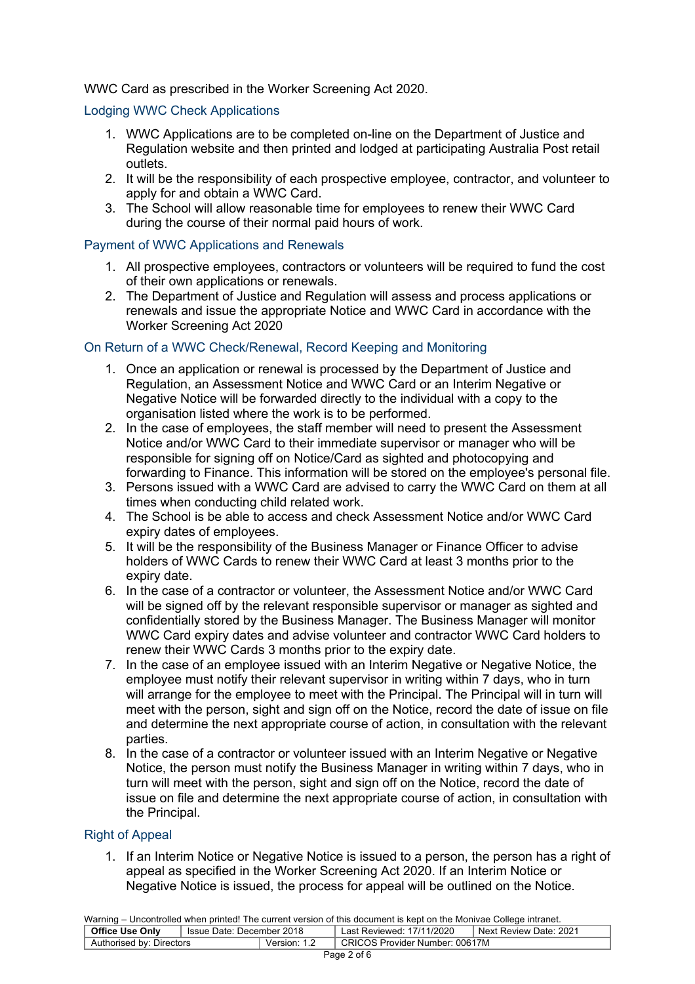#### WWC Card as prescribed in the Worker Screening Act 2020.

#### Lodging WWC Check Applications

- 1. WWC Applications are to be completed on-line on the Department of Justice and Regulation website and then printed and lodged at participating Australia Post retail outlets.
- 2. It will be the responsibility of each prospective employee, contractor, and volunteer to apply for and obtain a WWC Card.
- 3. The School will allow reasonable time for employees to renew their WWC Card during the course of their normal paid hours of work.

#### Payment of WWC Applications and Renewals

- 1. All prospective employees, contractors or volunteers will be required to fund the cost of their own applications or renewals.
- 2. The Department of Justice and Regulation will assess and process applications or renewals and issue the appropriate Notice and WWC Card in accordance with the Worker Screening Act 2020

#### On Return of a WWC Check/Renewal, Record Keeping and Monitoring

- 1. Once an application or renewal is processed by the Department of Justice and Regulation, an Assessment Notice and WWC Card or an Interim Negative or Negative Notice will be forwarded directly to the individual with a copy to the organisation listed where the work is to be performed.
- 2. In the case of employees, the staff member will need to present the Assessment Notice and/or WWC Card to their immediate supervisor or manager who will be responsible for signing off on Notice/Card as sighted and photocopying and forwarding to Finance. This information will be stored on the employee's personal file.
- 3. Persons issued with a WWC Card are advised to carry the WWC Card on them at all times when conducting child related work.
- 4. The School is be able to access and check Assessment Notice and/or WWC Card expiry dates of employees.
- 5. It will be the responsibility of the Business Manager or Finance Officer to advise holders of WWC Cards to renew their WWC Card at least 3 months prior to the expiry date.
- 6. In the case of a contractor or volunteer, the Assessment Notice and/or WWC Card will be signed off by the relevant responsible supervisor or manager as sighted and confidentially stored by the Business Manager. The Business Manager will monitor WWC Card expiry dates and advise volunteer and contractor WWC Card holders to renew their WWC Cards 3 months prior to the expiry date.
- 7. In the case of an employee issued with an Interim Negative or Negative Notice, the employee must notify their relevant supervisor in writing within 7 days, who in turn will arrange for the employee to meet with the Principal. The Principal will in turn will meet with the person, sight and sign off on the Notice, record the date of issue on file and determine the next appropriate course of action, in consultation with the relevant parties.
- 8. In the case of a contractor or volunteer issued with an Interim Negative or Negative Notice, the person must notify the Business Manager in writing within 7 days, who in turn will meet with the person, sight and sign off on the Notice, record the date of issue on file and determine the next appropriate course of action, in consultation with the Principal.

#### Right of Appeal

1. If an Interim Notice or Negative Notice is issued to a person, the person has a right of appeal as specified in the Worker Screening Act 2020. If an Interim Notice or Negative Notice is issued, the process for appeal will be outlined on the Notice.

| Warning – Uncontrolled when printed! The current version of this document is kept on the Monivae College intranet. |                             |  |                                        |                          |  |
|--------------------------------------------------------------------------------------------------------------------|-----------------------------|--|----------------------------------------|--------------------------|--|
| <b>Office Use Only</b>                                                                                             | ็ Issue Date: December 2018 |  | <sup>1</sup> Last Reviewed: 17/11/2020 | I Next Review Date: 2021 |  |
| Version: 1.2<br>Authorised by: Directors                                                                           |                             |  | CRICOS Provider Number: 00617M         |                          |  |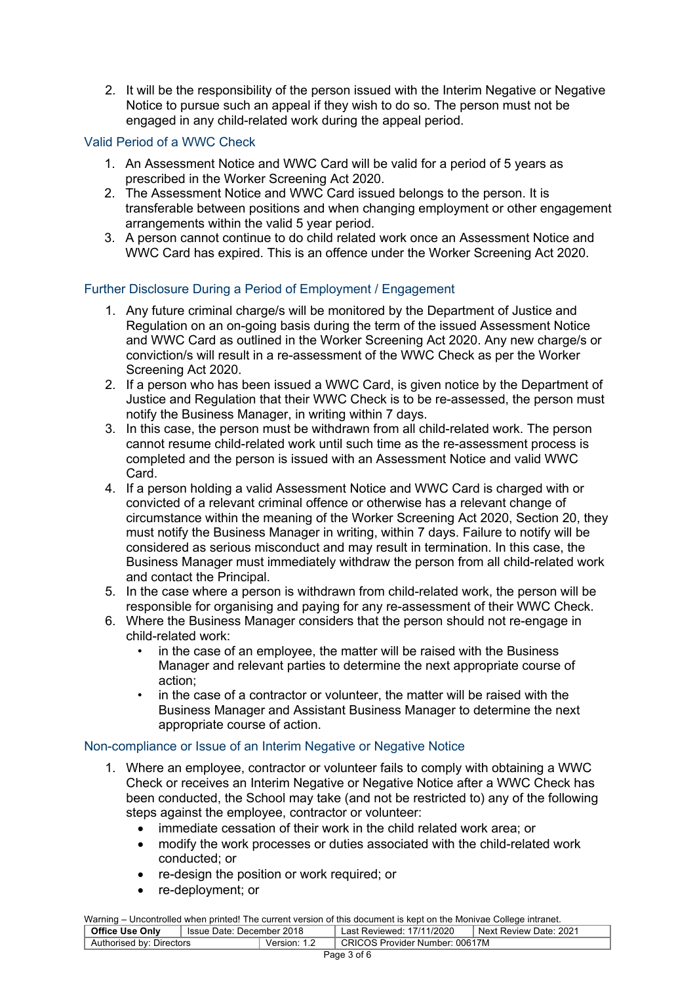2. It will be the responsibility of the person issued with the Interim Negative or Negative Notice to pursue such an appeal if they wish to do so. The person must not be engaged in any child-related work during the appeal period.

#### Valid Period of a WWC Check

- 1. An Assessment Notice and WWC Card will be valid for a period of 5 years as prescribed in the Worker Screening Act 2020.
- 2. The Assessment Notice and WWC Card issued belongs to the person. It is transferable between positions and when changing employment or other engagement arrangements within the valid 5 year period.
- 3. A person cannot continue to do child related work once an Assessment Notice and WWC Card has expired. This is an offence under the Worker Screening Act 2020.

#### Further Disclosure During a Period of Employment / Engagement

- 1. Any future criminal charge/s will be monitored by the Department of Justice and Regulation on an on-going basis during the term of the issued Assessment Notice and WWC Card as outlined in the Worker Screening Act 2020. Any new charge/s or conviction/s will result in a re-assessment of the WWC Check as per the Worker Screening Act 2020.
- 2. If a person who has been issued a WWC Card, is given notice by the Department of Justice and Regulation that their WWC Check is to be re-assessed, the person must notify the Business Manager, in writing within 7 days.
- 3. In this case, the person must be withdrawn from all child-related work. The person cannot resume child-related work until such time as the re-assessment process is completed and the person is issued with an Assessment Notice and valid WWC Card.
- 4. If a person holding a valid Assessment Notice and WWC Card is charged with or convicted of a relevant criminal offence or otherwise has a relevant change of circumstance within the meaning of the Worker Screening Act 2020, Section 20, they must notify the Business Manager in writing, within 7 days. Failure to notify will be considered as serious misconduct and may result in termination. In this case, the Business Manager must immediately withdraw the person from all child-related work and contact the Principal.
- 5. In the case where a person is withdrawn from child-related work, the person will be responsible for organising and paying for any re-assessment of their WWC Check.
- 6. Where the Business Manager considers that the person should not re-engage in child-related work:
	- in the case of an employee, the matter will be raised with the Business Manager and relevant parties to determine the next appropriate course of action;
	- in the case of a contractor or volunteer, the matter will be raised with the Business Manager and Assistant Business Manager to determine the next appropriate course of action.

#### Non-compliance or Issue of an Interim Negative or Negative Notice

- 1. Where an employee, contractor or volunteer fails to comply with obtaining a WWC Check or receives an Interim Negative or Negative Notice after a WWC Check has been conducted, the School may take (and not be restricted to) any of the following steps against the employee, contractor or volunteer:
	- immediate cessation of their work in the child related work area; or
	- modify the work processes or duties associated with the child-related work conducted; or
	- re-design the position or work required; or
	- re-deployment; or

Warning – Uncontrolled when printed! The current version of this document is kept on the Monivae College intranet. **Office Use Only** | Issue Date: December 2018 | Last Reviewed: 17/11/2020 | Next Review Date: 2021 Authorised by: Directors Terms Number: Version: 1.2 CRICOS Provider Number: 00617M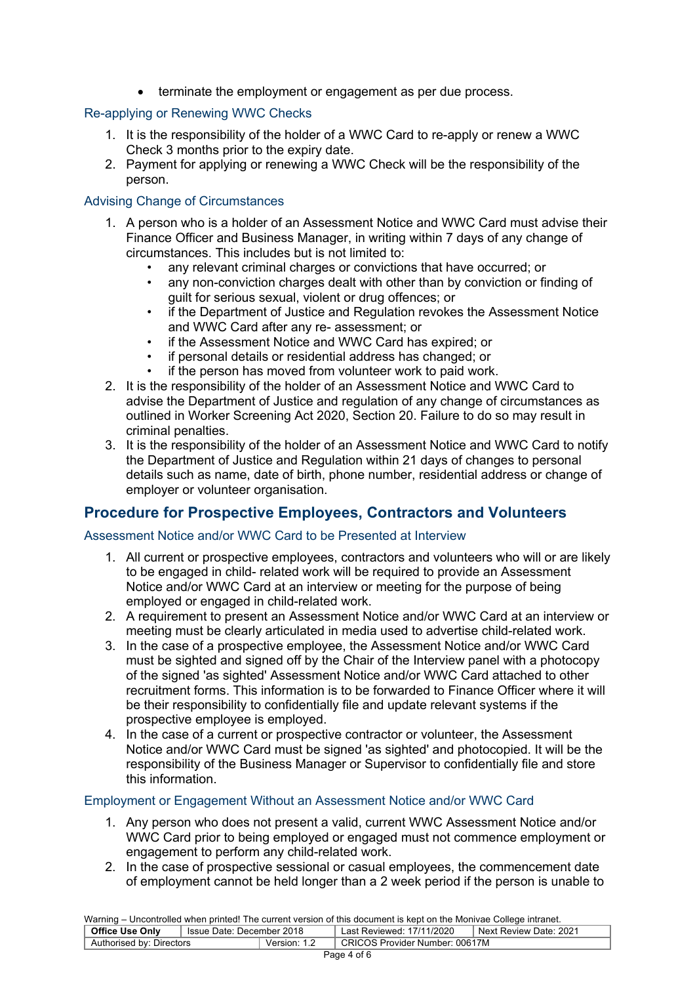• terminate the employment or engagement as per due process.

# Re-applying or Renewing WWC Checks

- 1. It is the responsibility of the holder of a WWC Card to re-apply or renew a WWC Check 3 months prior to the expiry date.
- 2. Payment for applying or renewing a WWC Check will be the responsibility of the person.

#### Advising Change of Circumstances

- 1. A person who is a holder of an Assessment Notice and WWC Card must advise their Finance Officer and Business Manager, in writing within 7 days of any change of circumstances. This includes but is not limited to:
	- any relevant criminal charges or convictions that have occurred; or
	- any non-conviction charges dealt with other than by conviction or finding of guilt for serious sexual, violent or drug offences; or
	- if the Department of Justice and Regulation revokes the Assessment Notice and WWC Card after any re- assessment; or
	- if the Assessment Notice and WWC Card has expired; or
	- if personal details or residential address has changed; or
	- if the person has moved from volunteer work to paid work.
- 2. It is the responsibility of the holder of an Assessment Notice and WWC Card to advise the Department of Justice and regulation of any change of circumstances as outlined in Worker Screening Act 2020, Section 20. Failure to do so may result in criminal penalties.
- 3. It is the responsibility of the holder of an Assessment Notice and WWC Card to notify the Department of Justice and Regulation within 21 days of changes to personal details such as name, date of birth, phone number, residential address or change of employer or volunteer organisation.

# **Procedure for Prospective Employees, Contractors and Volunteers**

#### Assessment Notice and/or WWC Card to be Presented at Interview

- 1. All current or prospective employees, contractors and volunteers who will or are likely to be engaged in child- related work will be required to provide an Assessment Notice and/or WWC Card at an interview or meeting for the purpose of being employed or engaged in child-related work.
- 2. A requirement to present an Assessment Notice and/or WWC Card at an interview or meeting must be clearly articulated in media used to advertise child-related work.
- 3. In the case of a prospective employee, the Assessment Notice and/or WWC Card must be sighted and signed off by the Chair of the Interview panel with a photocopy of the signed 'as sighted' Assessment Notice and/or WWC Card attached to other recruitment forms. This information is to be forwarded to Finance Officer where it will be their responsibility to confidentially file and update relevant systems if the prospective employee is employed.
- 4. In the case of a current or prospective contractor or volunteer, the Assessment Notice and/or WWC Card must be signed 'as sighted' and photocopied. It will be the responsibility of the Business Manager or Supervisor to confidentially file and store this information.

#### Employment or Engagement Without an Assessment Notice and/or WWC Card

- 1. Any person who does not present a valid, current WWC Assessment Notice and/or WWC Card prior to being employed or engaged must not commence employment or engagement to perform any child-related work.
- 2. In the case of prospective sessional or casual employees, the commencement date of employment cannot be held longer than a 2 week period if the person is unable to

| Warning – Uncontrolled when printed! The current version of this document is kept on the Monivae College intranet. |                           |              |                                |                          |  |
|--------------------------------------------------------------------------------------------------------------------|---------------------------|--------------|--------------------------------|--------------------------|--|
| <b>Office Use Only</b>                                                                                             | Issue Date: December 2018 |              | Last Reviewed: 17/11/2020      | I Next Review Date: 2021 |  |
| Authorised by: Directors                                                                                           |                           | Version: 1.2 | CRICOS Provider Number: 00617M |                          |  |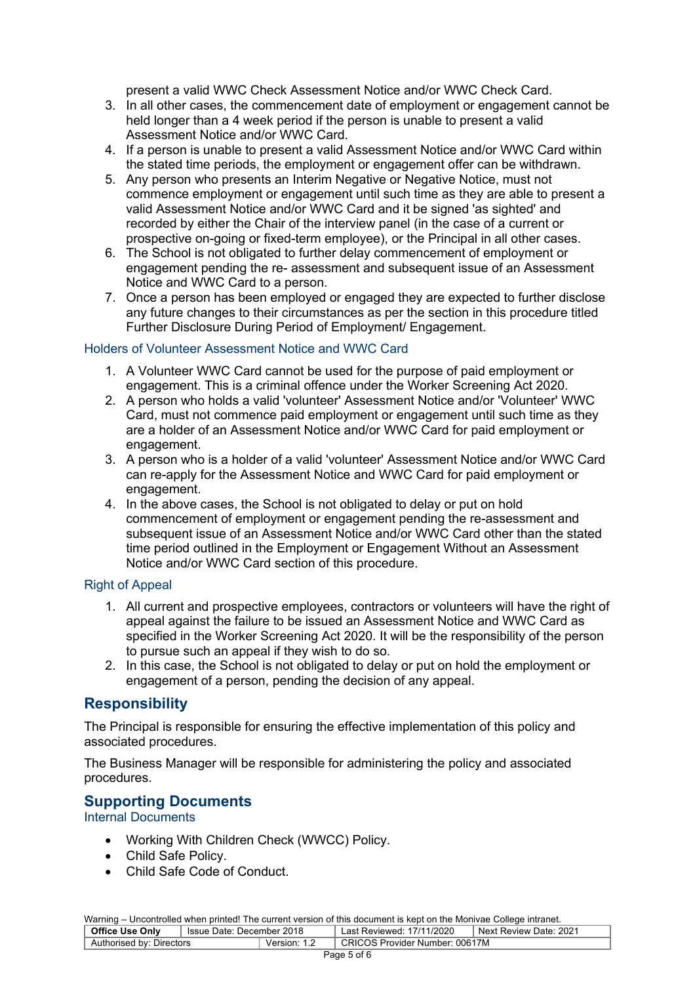present a valid WWC Check Assessment Notice and/or WWC Check Card.

- 3. In all other cases, the commencement date of employment or engagement cannot be held longer than a 4 week period if the person is unable to present a valid Assessment Notice and/or WWC Card.
- 4. If a person is unable to present a valid Assessment Notice and/or WWC Card within the stated time periods, the employment or engagement offer can be withdrawn.
- 5. Any person who presents an Interim Negative or Negative Notice, must not commence employment or engagement until such time as they are able to present a valid Assessment Notice and/or WWC Card and it be signed 'as sighted' and recorded by either the Chair of the interview panel (in the case of a current or prospective on-going or fixed-term employee), or the Principal in all other cases.
- 6. The School is not obligated to further delay commencement of employment or engagement pending the re- assessment and subsequent issue of an Assessment Notice and WWC Card to a person.
- 7. Once a person has been employed or engaged they are expected to further disclose any future changes to their circumstances as per the section in this procedure titled Further Disclosure During Period of Employment/ Engagement.

#### Holders of Volunteer Assessment Notice and WWC Card

- 1. A Volunteer WWC Card cannot be used for the purpose of paid employment or engagement. This is a criminal offence under the Worker Screening Act 2020.
- 2. A person who holds a valid 'volunteer' Assessment Notice and/or 'Volunteer' WWC Card, must not commence paid employment or engagement until such time as they are a holder of an Assessment Notice and/or WWC Card for paid employment or engagement.
- 3. A person who is a holder of a valid 'volunteer' Assessment Notice and/or WWC Card can re-apply for the Assessment Notice and WWC Card for paid employment or engagement.
- 4. In the above cases, the School is not obligated to delay or put on hold commencement of employment or engagement pending the re-assessment and subsequent issue of an Assessment Notice and/or WWC Card other than the stated time period outlined in the Employment or Engagement Without an Assessment Notice and/or WWC Card section of this procedure.

#### Right of Appeal

- 1. All current and prospective employees, contractors or volunteers will have the right of appeal against the failure to be issued an Assessment Notice and WWC Card as specified in the Worker Screening Act 2020. It will be the responsibility of the person to pursue such an appeal if they wish to do so.
- 2. In this case, the School is not obligated to delay or put on hold the employment or engagement of a person, pending the decision of any appeal.

## **Responsibility**

The Principal is responsible for ensuring the effective implementation of this policy and associated procedures.

The Business Manager will be responsible for administering the policy and associated procedures.

#### **Supporting Documents**

Internal Documents

- Working With Children Check (WWCC) Policy.
- Child Safe Policy.
- Child Safe Code of Conduct.

Warning – Uncontrolled when printed! The current version of this document is kept on the Monivae College intranet. **Office Use Only** Issue Date: December 2018 Last Reviewed: 17/11/2020 Next Review Date: 2021 Office Use Only | Issue Date: December 2018 | Last Reviewed: 17/11/2020 | Next<br>Authorised by: Directors | Version: 1.2 | CRICOS Provider Number: 00617M